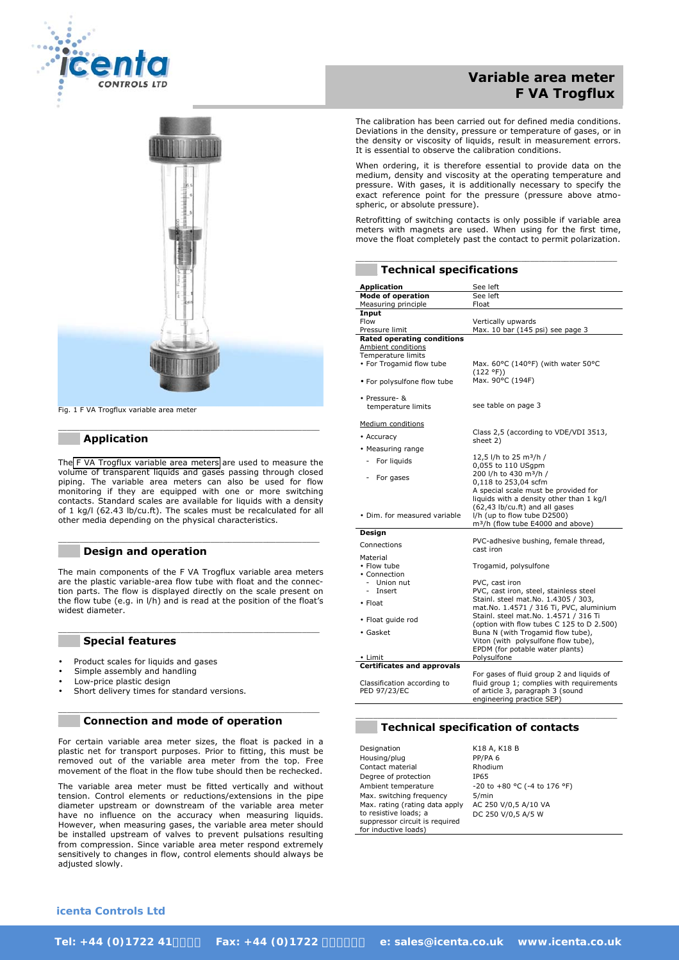



Fig. 1 F VA Trogflux variable area meter

#### **\_\_\_ Application**

The [F VA Trogflux variable area meters](http://www.icenta.co.uk/product/Rotameter-Flow-Meter-F-VA-Trogflux) are used to measure the volume of transparent liquids and gases passing through closed piping. The variable area meters can also be used for flow monitoring if they are equipped with one or more switching contacts. Standard scales are available for liquids with a density of 1 kg/l (62.43 lb/cu.ft). The scales must be recalculated for all other media depending on the physical characteristics.

 $\mathcal{L}_\text{max}$  , and the contribution of the contribution of the contribution of the contribution of the contribution of the contribution of the contribution of the contribution of the contribution of the contribution of t

\_\_\_\_\_\_\_\_\_\_\_\_\_\_\_\_\_\_\_\_\_\_\_\_\_\_\_\_\_\_\_\_\_\_\_\_\_\_\_\_\_\_\_\_\_\_\_\_\_\_\_\_\_\_\_\_\_\_\_\_

#### **\_\_\_ Design and operation**

The main components of the F VA Trogflux variable area meters are the plastic variable-area flow tube with float and the connection parts. The flow is displayed directly on the scale present on the flow tube (e.g. in l/h) and is read at the position of the float's widest diameter.

 $\mathcal{L}_\text{max}$  , and the contribution of the contribution of the contribution of the contribution of the contribution of the contribution of the contribution of the contribution of the contribution of the contribution of t

#### **\_\_\_ Special features**

- Product scales for liquids and gases
- Simple assembly and handling
- Low-price plastic design
- Short delivery times for standard versions.

#### \_\_\_\_\_\_\_\_\_\_\_\_\_\_\_\_\_\_\_\_\_\_\_\_\_\_\_\_\_\_\_\_\_\_\_\_\_\_\_\_\_\_\_\_\_\_\_\_\_\_\_\_\_\_\_\_\_\_\_\_ **\_\_\_ Connection and mode of operation**

For certain variable area meter sizes, the float is packed in a plastic net for transport purposes. Prior to fitting, this must be removed out of the variable area meter from the top. Free movement of the float in the flow tube should then be rechecked.

The variable area meter must be fitted vertically and without tension. Control elements or reductions/extensions in the pipe diameter upstream or downstream of the variable area meter have no influence on the accuracy when measuring liquids. However, when measuring gases, the variable area meter should be installed upstream of valves to prevent pulsations resulting from compression. Since variable area meter respond extremely sensitively to changes in flow, control elements should always be adjusted slowly.

# **Variable area meter F VA Trogflux**

The calibration has been carried out for defined media conditions. Deviations in the density, pressure or temperature of gases, or in the density or viscosity of liquids, result in measurement errors. It is essential to observe the calibration conditions.

When ordering, it is therefore essential to provide data on the medium, density and viscosity at the operating temperature and pressure. With gases, it is additionally necessary to specify the exact reference point for the pressure (pressure above atmospheric, or absolute pressure).

Retrofitting of switching contacts is only possible if variable area meters with magnets are used. When using for the first time, move the float completely past the contact to permit polarization.

\_\_\_\_\_\_\_\_\_\_\_\_\_\_\_\_\_\_\_\_\_\_\_\_\_\_\_\_\_\_\_\_\_\_\_\_\_\_\_\_\_\_\_\_\_\_\_\_\_\_\_\_\_\_\_\_\_\_\_\_

| <b>Technical specifications</b>                |                                                                                    |
|------------------------------------------------|------------------------------------------------------------------------------------|
| <b>Application</b>                             | See left                                                                           |
| <b>Mode of operation</b>                       | See left                                                                           |
| Measuring principle                            | Float                                                                              |
| Input<br>Flow                                  | Vertically upwards                                                                 |
| Pressure limit                                 | Max. 10 bar (145 psi) see page 3                                                   |
| <b>Rated operating conditions</b>              |                                                                                    |
| Ambient conditions                             |                                                                                    |
| Temperature limits<br>• For Trogamid flow tube | Max. 60°C (140°F) (with water 50°C                                                 |
|                                                | (122 °F))                                                                          |
| • For polysulfone flow tube                    | Max. 90°C (194F)                                                                   |
| · Pressure- &                                  |                                                                                    |
| temperature limits                             | see table on page 3                                                                |
| Medium conditions                              |                                                                                    |
| • Accuracy                                     | Class 2,5 (according to VDE/VDI 3513,                                              |
| • Measuring range                              | sheet 2)                                                                           |
|                                                | 12,5 l/h to 25 m <sup>3</sup> /h /                                                 |
| For liquids                                    | 0,055 to 110 USgpm                                                                 |
| For gases                                      | 200 l/h to 430 m <sup>3</sup> /h /                                                 |
|                                                | 0,118 to 253,04 scfm<br>A special scale must be provided for                       |
|                                                | liquids with a density other than 1 kg/l                                           |
|                                                | (62,43 lb/cu.ft) and all gases                                                     |
| • Dim. for measured variable                   | I/h (up to flow tube D2500)                                                        |
|                                                | m <sup>3</sup> /h (flow tube E4000 and above)                                      |
| Design                                         | PVC-adhesive bushing, female thread,                                               |
| Connections                                    | cast iron                                                                          |
| Material                                       |                                                                                    |
| • Flow tube                                    | Trogamid, polysulfone                                                              |
| • Connection<br>Union nut                      | PVC, cast iron                                                                     |
| Insert<br>÷.                                   | PVC, cast iron, steel, stainless steel                                             |
| $\bullet$ Float                                | Stainl. steel mat.No. 1.4305 / 303,                                                |
|                                                | mat.No. 1.4571 / 316 Ti, PVC, aluminium                                            |
| · Float quide rod                              | Stainl. steel mat.No. 1.4571 / 316 Ti<br>(option with flow tubes C 125 to D 2.500) |
| • Gasket                                       | Buna N (with Trogamid flow tube),                                                  |
|                                                | Viton (with polysulfone flow tube),                                                |
|                                                | EPDM (for potable water plants)                                                    |
| • Limit                                        | Polysulfone                                                                        |
| <b>Certificates and approvals</b>              | For gases of fluid group 2 and liquids of                                          |
| Classification according to                    | fluid group 1; complies with requirements                                          |
| PED 97/23/EC                                   | of article 3, paragraph 3 (sound                                                   |
|                                                | engineering practice SEP)                                                          |

## **\_\_\_ Technical specification of contacts**

 $\Box$  . The contribution of the contribution of the contribution of the contribution of the contribution of the contribution of the contribution of the contribution of the contribution of the contribution of the contributi

| Designation                    | K18 A, K18 B                 |
|--------------------------------|------------------------------|
| Housing/plug                   | PP/PA <sub>6</sub>           |
| Contact material               | Rhodium                      |
| Degree of protection           | IP65                         |
| Ambient temperature            | -20 to +80 °C (-4 to 176 °F) |
| Max. switching frequency       | 5/min                        |
| Max. rating (rating data apply | AC 250 V/0,5 A/10 VA         |
| to resistive loads; a          | DC 250 V/0,5 A/5 W           |
| suppressor circuit is required |                              |
| for inductive loads)           |                              |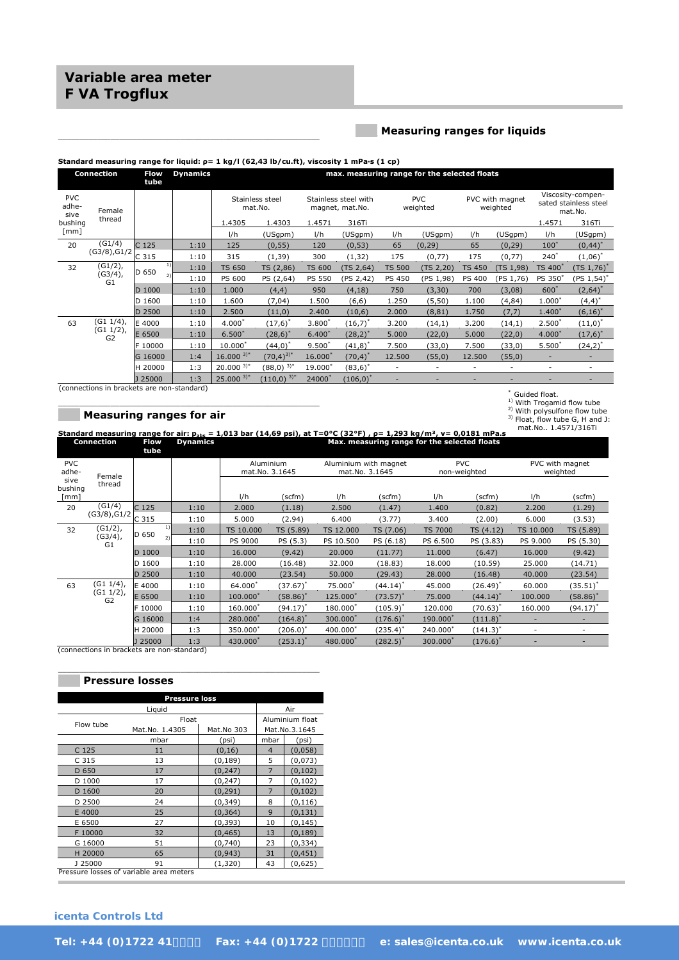# **Variable area meter F VA Trogflux**

### **\_\_\_ Measuring ranges for liquids**

#### **Standard measuring range for liquid: ρ= 1 kg/l (62,43 lb/cu.ft), viscosity 1 mPa·s (1 cp)**

\_\_\_\_\_\_\_\_\_\_\_\_\_\_\_\_\_\_\_\_\_\_\_\_\_\_\_\_\_\_\_\_\_\_\_\_\_\_\_\_\_\_\_\_\_\_\_\_\_\_\_\_\_\_\_\_\_\_\_\_

|                             | Connection       | Flow<br>tube | <b>Dynamics</b> |                            |                 |               |                                         |               | max. measuring range for the selected floats |               |                             |                          |                                                       |
|-----------------------------|------------------|--------------|-----------------|----------------------------|-----------------|---------------|-----------------------------------------|---------------|----------------------------------------------|---------------|-----------------------------|--------------------------|-------------------------------------------------------|
| <b>PVC</b><br>adhe-<br>sive | Female           |              |                 | Stainless steel<br>mat.No. |                 |               | Stainless steel with<br>magnet, mat.No. |               | <b>PVC</b><br>weighted                       |               | PVC with magnet<br>weighted |                          | Viscosity-compen-<br>sated stainless steel<br>mat.No. |
| bushing                     | thread           |              |                 | 1.4305                     | 1.4303          | 1.4571        | 316Ti                                   |               |                                              |               |                             | 1.4571                   | 316Ti                                                 |
| $\lceil mm \rceil$          |                  |              |                 | l/h                        | (USgpm)         | l/h           | (USgpm)                                 | l/h           | (USgpm)                                      | 1/h           | (USgpm)                     | I/h                      | (USgpm)                                               |
| 20                          | (G1/4)           | C 125        | 1:10            | 125                        | (0, 55)         | 120           | (0, 53)                                 | 65            | (0, 29)                                      | 65            | (0, 29)                     | $100*$                   | $(0, 44)^*$                                           |
| (G3/8), G1/2                | C <sub>315</sub> | 1:10         | 315             | (1, 39)                    | 300             | (1, 32)       | 175                                     | (0, 77)       | 175                                          | (0, 77)       | $240^*$                     | $(1,06)^*$               |                                                       |
| 32                          | (G1/2),          | D 650        | 1:10            | <b>TS 650</b>              | TS (2,86)       | <b>TS 600</b> | (TS 2,64)                               | <b>TS 500</b> | (TS 2,20)                                    | <b>TS 450</b> | (TS 1,98)                   | TS 400 <sup>*</sup>      | $(TS\ 1,76)^*$                                        |
| (G3/4),<br>G <sub>1</sub>   |                  | 1:10         | PS 600          | PS (2,64)                  | <b>PS 550</b>   | (PS 2,42)     | <b>PS 450</b>                           | (PS 1, 98)    | <b>PS 400</b>                                | (PS 1, 76)    | PS 350*                     | (PS 1,54) <sup>*</sup>   |                                                       |
|                             |                  | 1000         | 1:10            | 1.000                      | (4,4)           | 950           | (4, 18)                                 | 750           | (3, 30)                                      | 700           | (3,08)                      | $600*$                   | $(2,64)^*$                                            |
|                             |                  | D 1600       | 1:10            | 1.600                      | (7, 04)         | 1.500         | (6, 6)                                  | 1.250         | (5, 50)                                      | 1.100         | (4, 84)                     | $1.000*$                 | $(4,4)^*$                                             |
|                             |                  | 2500         | 1:10            | 2.500                      | (11,0)          | 2.400         | (10,6)                                  | 2.000         | (8, 81)                                      | 1.750         | (7,7)                       | $1.400*$                 | $(6,16)^*$                                            |
| 63                          | (G1 1/4),        | E 4000       | 1:10            | $4.000*$                   | $(17,6)^*$      | $3.800*$      | $(16,7)^*$                              | 3.200         | (14,1)                                       | 3.200         | (14,1)                      | $2.500*$                 | $(11,0)^{*}$                                          |
|                             | (G1 1/2),<br>G2  | E 6500       | 1:10            | $6.500*$                   | $(28,6)^*$      | $6.400*$      | $(28,2)^*$                              | 5.000         | (22,0)                                       | 5.000         | (22,0)                      | $4.000*$                 | $(17,6)^*$                                            |
|                             |                  | F 10000      | 1:10            | $10.000*$                  | $(44,0)^*$      | $9.500*$      | $(41,8)^*$                              | 7.500         | (33,0)                                       | 7.500         | (33,0)                      | $5.500*$                 | $(24,2)^{4}$                                          |
|                             |                  | G 16000      | 1:4             | $16.000^{3*}$              | $(70, 4)^{3)*}$ | $16.000*$     | $(70, 4)^*$                             | 12.500        | (55,0)                                       | 12.500        | (55,0)                      | $\overline{\phantom{a}}$ |                                                       |
|                             |                  | H 20000      | 1:3             | $20.000^{3*}$              | $(88,0)^{3,*}$  | 19.000*       | $(83,6)^*$                              | ٠             | ٠                                            | ٠             | ٠                           | $\overline{\phantom{a}}$ | ٠                                                     |
|                             |                  | 125000       | 1:3             | $25.000^{3*}$              | $(110,0)^{3,*}$ | 24000*        | $(106,0)^*$                             |               |                                              |               |                             |                          | -                                                     |

(connections in brackets are non-standard)

#### **\_\_\_ Measuring ranges for air**

\_\_\_\_\_\_\_\_\_\_\_\_\_\_\_\_\_\_\_\_\_\_\_\_\_\_\_\_\_\_\_\_\_\_\_\_\_\_\_\_\_\_\_\_\_\_\_\_\_\_\_\_\_\_\_\_\_\_\_\_

\* Guided float. <sup>1)</sup> With Trogamid flow tube

- -

<sup>2)</sup> With polysulfone flow tube<br><sup>3)</sup> Float, flow tube G, H and J:

**Standard measuring range for air: pabs = 1,013 bar (14,69 psi), at T=0°C (32°F) , ρ= 1,293 kg/m³, v= 0,0181 mPa.s Dynamics Max. measuring range for the selected floats Standard measuring range for air: p<sub>abs</sub> =<br>
<b>Connection** Flow Dynamics **tube**  PVC adhesive bushing [mm] Female thread Aluminium mat.No. 3.1645 Aluminium with magnet mat.No. 3.1645 PVC non-weighted PVC with magnet weighted l/h (scfm) l/h (scfm) l/h (scfm) l/h (scfm)  $\frac{1}{20}$  (G1/4)  $(G3/8), G1/2$ C 125 1:10 2.000 (1.18) 2.500 (1.47) 1.400 (0.82) 2.200 (1.29) C 315 1:10 5.000 (2.94) 6.400 (3.77) 3.400 (2.00) 6.000 (3.53)  $32$   $(G1/2)$ ,  $(G3/4)$ , G1 D 650  $^{11}$  1:10 | TS 10.000 TS (5.89) TS 12.000 TS (7.06) TS 7000 TS (4.12) TS 10.000 TS (5.89)  $^{2)}$  1:10 PS 9000 PS (5.3) PS 10.500 PS (6.18) PS 6.500 PS (3.83) PS 9.000 PS (5.30) D 1000 1:10 16.000 (9.42) 20.000 (11.77) 11.000 (6.47) 16.000 (9.42) D 1600 1:10 28.000 (16.48) 32.000 (18.83) 18.000 (10.59) 25.000 (14.71) D 2500 1:10 40.000 (23.54) 50.000 (29.43) 28.000 (16.48) 40.000 (23.54) 63 (G1 1/4),  $(61 \ 1/2)$ , G2 E 4000 1:10 64.000<sup>\*</sup>  $(37.67)^*$  75.000\*  $(44.14)^*$  45.000 (26.49)\* 60.000 (35.51)\*  $E 6500$  1:10 100.000<sup>\*</sup>  $(58.86)^*$  125.000<sup>\*</sup>  $(73.57)^*$  75.000  $(44.14)^*$  100.000  $(58.86)^*$  $F 10000 1:10 160.000*$  $(94.17)^{*}$  180.000\*  $(105.9)^{*}$  120.000 (70.63)\* 160.000 (94.17)\*  $G \cdot 16000$   $1:4$   $280.000$ <sup>\*</sup>  $(164.8)^*$  300.000<sup>\*</sup>  $(176.6)^*$  190.000<sup>\*</sup>  $(111.8)$ <sup>\*</sup> - - H 20000 1:3 350.000<sup>\*</sup>  $(206.0)^*$  400.000\*  $(235.4)^*$  240.000\*  $(141.3)$ - - - - - - - - - - - - J 25000 1:3 430.000\*  $(253.1)^*$  480.000<sup>\*</sup>  $(282.5)^*$  300.000<sup>\*</sup>  $(176.6)$ mat.No.. 1.4571/316Ti

(connections in brackets are non-standard)

### **\_\_\_ Pressure losses**

| Liguid         |            |                               | Air             |
|----------------|------------|-------------------------------|-----------------|
|                |            |                               | Aluminium float |
| Mat.No. 1.4305 | Mat.No 303 |                               | Mat.No.3.1645   |
| mbar           | (psi)      | mbar                          | (psi)           |
| 11             | (0, 16)    | $\overline{4}$                | (0,058)         |
| 13             | (0, 189)   | 5                             | (0,073)         |
| 17             | (0, 247)   | 7                             | (0, 102)        |
| 17             | (0, 247)   | 7                             | (0, 102)        |
| 20             | (0, 291)   | 7                             | (0, 102)        |
| 24             | (0, 349)   | 8                             | (0, 116)        |
| 25             | (0, 364)   | $\mathbf{Q}$                  | (0, 131)        |
| 27             | (0, 393)   | 10                            | (0, 145)        |
| 32             | (0, 465)   | 13                            | (0, 189)        |
| 51             | (0,740)    | 23                            | (0, 334)        |
| 65             | (0, 943)   | 31                            | (0, 451)        |
| 91             | (1,320)    | 43                            | (0,625)         |
|                | .<br>. .   | <b>Pressure loss</b><br>Float |                 |

\_\_\_\_\_\_\_\_\_\_\_\_\_\_\_\_\_\_\_\_\_\_\_\_\_\_\_\_\_\_\_\_\_\_\_\_\_\_\_\_\_\_\_\_\_\_\_\_\_\_\_\_\_\_\_\_\_\_\_\_

Pressure losses of variable area meters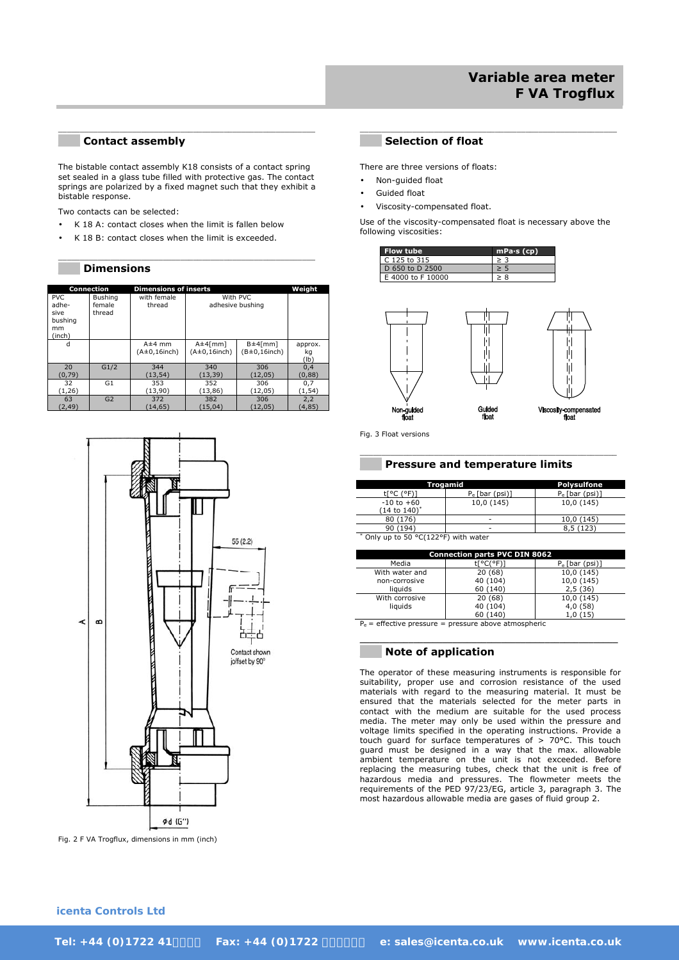#### **\_\_\_ Contact assembly**

The bistable contact assembly K18 consists of a contact spring set sealed in a glass tube filled with protective gas. The contact springs are polarized by a fixed magnet such that they exhibit a bistable response.

 $\mathcal{L}_\text{max}$  , and the set of the set of the set of the set of the set of the set of the set of the set of the set of the set of the set of the set of the set of the set of the set of the set of the set of the set of the

\_\_\_\_\_\_\_\_\_\_\_\_\_\_\_\_\_\_\_\_\_\_\_\_\_\_\_\_\_\_\_\_\_\_\_\_\_\_\_\_\_\_\_\_\_\_\_\_\_\_\_\_\_\_\_\_\_\_\_

Two contacts can be selected:

- K 18 A: contact closes when the limit is fallen below
- K 18 B: contact closes when the limit is exceeded.

#### **\_\_\_ Dimensions**

|              | <b>Connection</b> | <b>Dimensions of inserts</b> |                     |                     | Weight          |
|--------------|-------------------|------------------------------|---------------------|---------------------|-----------------|
| PVC.         | Bushing           | with female                  |                     | With PVC            |                 |
| adhe-        | female            | thread                       |                     | adhesive bushing    |                 |
| sive         | thread            |                              |                     |                     |                 |
| bushing      |                   |                              |                     |                     |                 |
| mm<br>(inch) |                   |                              |                     |                     |                 |
| d            |                   | $A \pm 4$ mm                 | $A \pm 4$ [mm]      | $B \pm 4$ [mm]      | approx.         |
|              |                   | $(A\pm 0, 16$ inch)          | $(A\pm 0, 16$ inch) | $(B\pm 0, 16$ inch) | kg              |
|              |                   |                              |                     |                     | $(\mathsf{lb})$ |
| 20           | G1/2              | 344                          | 340                 | 306                 | 0.4             |
| (0,79)       |                   | (13, 54)                     | (13,39)             | (12,05)             | (0,88)          |
| 32           | G <sub>1</sub>    | 353                          | 352                 | 306                 | 0,7             |
| (1,26)       |                   | (13,90)                      | (13,86)             | (12,05)             | (1,54)          |
| 63           | G <sub>2</sub>    | 372                          | 382                 | 306                 | 2,2             |
| (2, 49)      |                   | (14,65)                      | (15,04)             | (12,05)             | (4, 85)         |



Fig. 2 F VA Trogflux, dimensions in mm (inch)

#### **\_\_\_ Selection of float**

There are three versions of floats:

- Non-guided float
- Guided float
- Viscosity-compensated float.

Use of the viscosity-compensated float is necessary above the following viscosities:

\_\_\_\_\_\_\_\_\_\_\_\_\_\_\_\_\_\_\_\_\_\_\_\_\_\_\_\_\_\_\_\_\_\_\_\_\_\_\_\_\_\_\_\_\_\_\_\_\_\_\_\_\_\_\_\_\_\_\_

| <b>Flow tube</b>  | $mPa·s$ (cp) |
|-------------------|--------------|
| C 125 to 315      |              |
| D 650 to D 2500   |              |
| E 4000 to F 10000 | > 8          |



Fig. 3 Float versions

#### **\_\_\_ Pressure and temperature limits**

|                          | Trogamid          | <b>Polysulfone</b> |
|--------------------------|-------------------|--------------------|
| (°F)                     | $P_e$ [bar (psi)] | $P_e$ [bar (psi)]  |
| $-10$ to $+60$           | 10,0 (145)        | 10,0 (145)         |
| $(14 \text{ to } 140)^*$ |                   |                    |
| 80 (176)                 | -                 | 10,0 (145)         |
| 90 (194)                 | -                 | (123)              |

\_\_\_\_\_\_\_\_\_\_\_\_\_\_\_\_\_\_\_\_\_\_\_\_\_\_\_\_\_\_\_\_\_\_\_\_\_\_\_\_\_\_\_\_\_\_\_\_\_\_\_\_\_\_\_\_\_\_\_

\* Only up to 50 °C(122°F) with water

|                | <b>Connection parts PVC DIN 8062</b> |                   |
|----------------|--------------------------------------|-------------------|
| Media          | t[°C(°F)]                            | $P_e$ [bar (psi)] |
| With water and | 20(68)                               | 10,0 (145)        |
| non-corrosive  | 40 (104)                             | 10,0 (145)        |
| liquids        | 60 (140)                             | 2,5(36)           |
| With corrosive | 20(68)                               | 10,0 (145)        |
| liguids        | 40 (104)                             | 4,0 (58)          |
|                | 60 (140)                             | 1,0(15)           |

**\_\_\_\_\_\_\_\_\_\_\_\_\_\_\_\_\_\_\_\_\_\_\_\_\_\_\_\_\_\_\_\_\_\_\_\_\_\_\_\_\_\_\_\_\_\_\_\_\_\_\_\_\_** 

 $P_e$  = effective pressure = pressure above atmospheric

### **\_\_\_ Note of application**

The operator of these measuring instruments is responsible for suitability, proper use and corrosion resistance of the used materials with regard to the measuring material. It must be ensured that the materials selected for the meter parts in contact with the medium are suitable for the used process media. The meter may only be used within the pressure and voltage limits specified in the operating instructions. Provide a touch guard for surface temperatures of > 70°C. This touch guard must be designed in a way that the max. allowable ambient temperature on the unit is not exceeded. Before replacing the measuring tubes, check that the unit is free of hazardous media and pressures. The flowmeter meets the requirements of the PED 97/23/EG, article 3, paragraph 3. The most hazardous allowable media are gases of fluid group 2.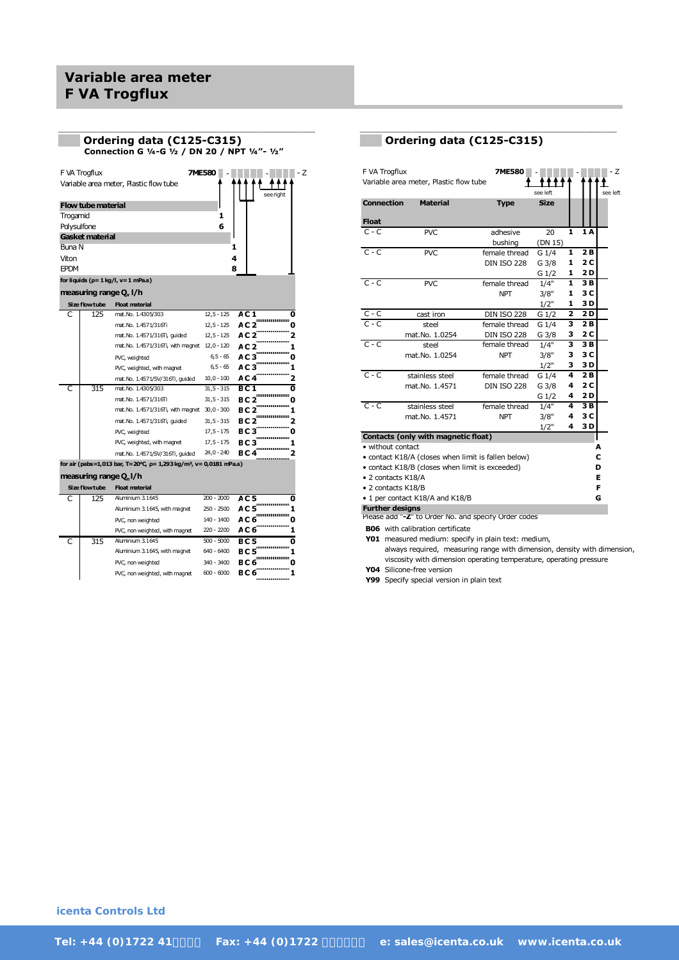# **Variable area meter F VA Trogflux**

|             |                           | Ordering data (C125-C315)<br>Connection G 1/4-G 1/2 / DN 20 / NPT 1/4"- 1/2"   |               |                 |     |
|-------------|---------------------------|--------------------------------------------------------------------------------|---------------|-----------------|-----|
|             | F VA Trogflux             |                                                                                | <b>7ME580</b> |                 | - Z |
|             |                           | Variable area meter, Plastic flow tube                                         |               | see right       |     |
|             | <b>Flow tube material</b> |                                                                                |               |                 |     |
| Trogamid    |                           |                                                                                | 1             |                 |     |
| Polysulfone |                           |                                                                                | 6             |                 |     |
|             | Gasket material           |                                                                                |               |                 |     |
| Buna N      |                           |                                                                                |               | 1               |     |
| Viton       |                           |                                                                                |               | 4               |     |
| <b>EPDM</b> |                           |                                                                                |               | 8               |     |
|             |                           | for liquids $(p=1 \text{ kg/l}, v=1 \text{ mPa.s})$                            |               |                 |     |
|             |                           | measuring range $Q_v$ l/h                                                      |               |                 |     |
|             | Size flow tube            | <b>Float material</b>                                                          |               |                 |     |
| C           | 125                       | mat.No. 1.4305/303                                                             | $12,5 - 125$  | AC 1            | 0   |
|             |                           | mat.No. 1.4571/316Ti                                                           | $12,5 - 125$  | AC <sub>2</sub> | 0   |
|             |                           | mat.No. 1.4571/316Ti, guided                                                   | $12,5 - 125$  | AC 2            | 2   |
|             |                           | mat. No. 1.4571/316Ti, with magnet 12,0 - 120                                  |               | AC 2            | 1   |
|             |                           | PVC, weighted                                                                  | $6,5 - 65$    | AC 3            | o   |
|             |                           | PVC, weighted, with magnet                                                     | $6,5 - 65$    | AC 3            | 1   |
|             |                           | mat. No. 1.4571/SV/316Ti, guided                                               | $10,0 - 100$  | AC 4            | 2   |
| C           | 315                       | mat. No. 1.4305/303                                                            | $31,5 - 315$  | B C 1           | 0   |
|             |                           | mat. No. 1.4571/316Ti                                                          | $31, 5 - 315$ | BC 2            | o   |
|             |                           | mat. No. 1.4571/316Ti, with magnet 30,0 - 300                                  |               | BC 2            | 1   |
|             |                           | mat.No. 1.4571/316Ti, quided                                                   | $31, 5 - 315$ | BC <sub>2</sub> | 2   |
|             |                           | PVC, weighted                                                                  | $17,5 - 175$  | BC 3            | o   |
|             |                           | PVC, weighted, with magnet                                                     | $17,5 - 175$  | BC 3            |     |
|             |                           | mat. No. 1.4571/SV/316Ti, quided                                               | 24,0 - 240    | BC4             | 2   |
|             |                           | for air (pabs=1,013 bar, T=20°C, p= 1,293 kg/m <sup>3</sup> , v= 0,0181 mPa.s) |               |                 |     |
|             | measuring range Q.l/h     |                                                                                |               |                 |     |
|             | Size flow tube            | <b>Float material</b>                                                          |               |                 |     |
| C           | 125                       | Aluminium 3.1645                                                               | $200 - 2000$  | AC 5            | 0   |
|             |                           | Aluminium 3.1645, with magnet                                                  | 250 - 2500    | AC 5            | 1   |
|             |                           | PVC, non weighted                                                              | 140 - 1400    | AC 6            | o   |
|             |                           | PVC, non weighted, with magnet                                                 | 220 - 2200    | AC 6            | 1   |
| C           | 315                       | Aluminium 3.1645                                                               | $500 - 5000$  | BC5             | 0   |

\_\_\_\_\_\_\_\_\_\_\_\_\_\_\_\_\_\_\_\_\_\_\_\_\_\_\_\_\_\_\_\_\_\_\_\_\_\_\_\_\_\_\_\_\_\_\_\_\_\_\_\_\_\_\_\_\_\_\_

Aluminium 3.1645, with magnet 640 - 6400 **BC 5 1** PVC, non weighted 340 - 3400 **BC 6 0** PVC, non weighted, with magnet 600 - 6000 **BC 6 1**

## **\_\_\_ Ordering data (C125-C315)**

\_\_\_\_\_\_\_\_\_\_\_\_\_\_\_\_\_\_\_\_\_\_\_\_\_\_\_\_\_\_\_\_\_\_\_\_\_\_\_\_\_\_\_\_\_\_\_\_\_\_\_\_\_\_\_\_\_\_\_

| F VA Trogflux          | Variable area meter, Plastic flow tube              | 7ME580                   | see left    |   |     | - Z<br>see left |
|------------------------|-----------------------------------------------------|--------------------------|-------------|---|-----|-----------------|
| <b>Connection</b>      | <b>Material</b>                                     | <b>Type</b>              | <b>Size</b> |   |     |                 |
| <b>Float</b>           |                                                     |                          |             |   |     |                 |
| $C - C$                | <b>PVC</b>                                          | adhesive                 | 20          | 1 | 1A  |                 |
|                        |                                                     | bushing                  | (DN 15)     |   |     |                 |
| $C - C$                | <b>PVC</b>                                          | female thread            | $G_1/4$     | 1 | 2B  |                 |
|                        |                                                     | <b>DIN ISO 228</b>       | G 3/8       | 1 | 2 C |                 |
|                        |                                                     |                          | $G_1/2$     | 1 | 2 D |                 |
| $C - C$                | PVC                                                 | female thread            | 1/4"        | 1 | 3B  |                 |
|                        |                                                     | <b>NPT</b>               | 3/8"        | 1 | 3 C |                 |
|                        |                                                     |                          | 1/2"        | 1 | 3 D |                 |
| $C - C$                | cast iron                                           | <b>DIN ISO 228</b>       | $G_1/2$     | 2 | 2D  |                 |
| $C - C$                | steel                                               | female thread            | G 1/4       | 3 | 2B  |                 |
|                        | mat.No. 1.0254                                      | <b>DIN ISO 228</b>       | G 3/8       | з | 2 C |                 |
| $C - C$                | steel                                               | female thread            | 1/4"        | 3 | 3 B |                 |
|                        | mat.No. 1.0254                                      | <b>NPT</b>               | 3/8"        | 3 | 3 C |                 |
|                        |                                                     |                          | 1/2"        | 3 | 3 D |                 |
| $C - C$                | stainless steel                                     | female thread            | G 1/4       | 4 | 2B  |                 |
|                        | mat.No. 1.4571                                      | <b>DIN ISO 228</b>       | G 3/8       | 4 | 2 C |                 |
|                        |                                                     |                          | G 1/2       | 4 | 2 D |                 |
| $C - C$                | stainless steel                                     | female thread            | 1/4"        | 4 | 3B  |                 |
|                        | mat.No. 1.4571                                      | <b>NPT</b>               | 3/8"        | 4 | 3 C |                 |
|                        |                                                     |                          | 1/2"        | 4 | 3D  |                 |
|                        | <b>Contacts (only with magnetic float)</b>          |                          |             |   |     |                 |
| • without contact      |                                                     |                          |             |   |     | A               |
|                        | • contact K18/A (closes when limit is fallen below) |                          |             |   |     | C               |
|                        | • contact K18/B (closes when limit is exceeded)     |                          |             |   |     | D               |
| • 2 contacts K18/A     |                                                     |                          |             |   |     | Е               |
| • 2 contacts K18/B     |                                                     |                          |             |   |     | F               |
|                        | • 1 per contact K18/A and K18/B                     |                          |             |   |     | G               |
| <b>Further designs</b> | N <sub>1</sub>                                      | د ب<br>والموردات والقائم |             |   |     |                 |

Please add "**-Z**" to Order No. and specify Order codes

**B06** with calibration certificate

**Y01** measured medium: specify in plain text: medium, always required, measuring range with dimension, density with dimension, viscosity with dimension operating temperature, operating pressure

**Y04** Silicone-free version

**Y99** Specify special version in plain text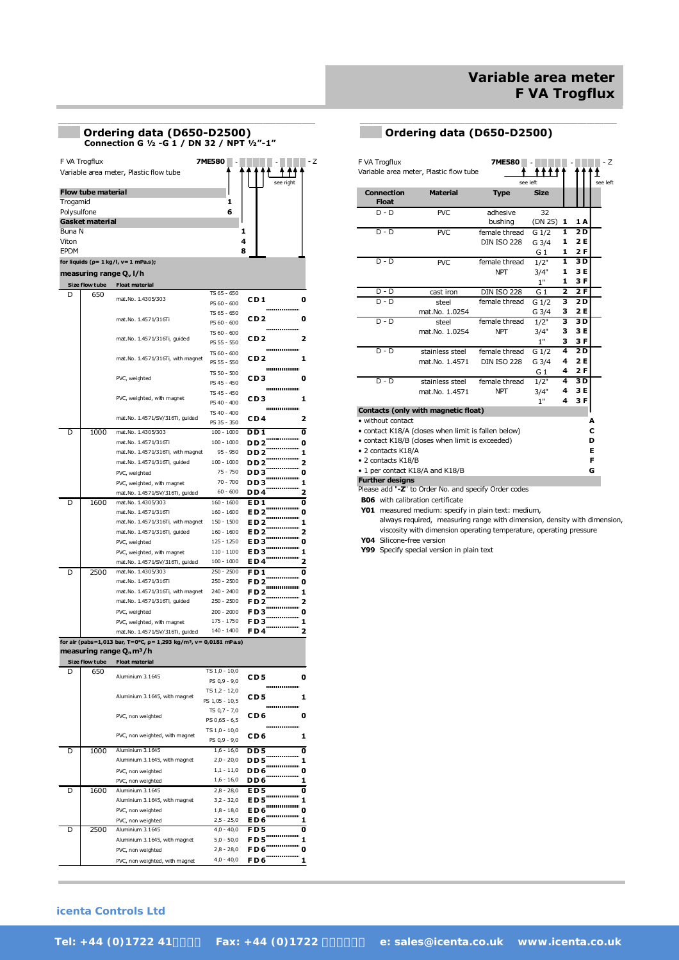# **Variable area meter F VA Trogflux**

|                      |                                    | Ordering data (D650-D2500)<br>Connection G 1/2 -G 1 / DN 32 / NPT 1/2"-1"     |                                 |                                   |
|----------------------|------------------------------------|-------------------------------------------------------------------------------|---------------------------------|-----------------------------------|
|                      | F VA Trogflux                      |                                                                               | <b>7ME580</b>                   | - Z                               |
|                      |                                    | Variable area meter, Plastic flow tube                                        |                                 | see riaht                         |
|                      | <b>Flow tube material</b>          |                                                                               |                                 |                                   |
| Trogamid             |                                    |                                                                               | 1                               |                                   |
| Polysulfone          | Gasket material                    |                                                                               | 6                               |                                   |
| Buna N               |                                    |                                                                               | 1                               |                                   |
| Viton<br><b>EPDM</b> |                                    |                                                                               | 4<br>8                          |                                   |
|                      |                                    | for liquids ( $p = 1$ kg/l, $v = 1$ mPa.s);                                   |                                 |                                   |
|                      | measuring range Q <sub>v</sub> I/h |                                                                               |                                 |                                   |
|                      | Size flow tube                     | <b>Float material</b>                                                         |                                 |                                   |
| D                    | 650                                | mat.No. 1.4305/303                                                            | TS 65 - 650<br>PS 60 - 600      | CD 1<br>0                         |
|                      |                                    |                                                                               | TS 65 - 650                     | CD 2<br>0                         |
|                      |                                    | mat.No. 1.4571/316Ti                                                          | PS 60 - 600                     |                                   |
|                      |                                    | mat.No. 1.4571/316Ti, guided                                                  | TS 60 - 600<br>PS 55 - 550      | 2<br>CD 2                         |
|                      |                                    | mat.No. 1.4571/316Ti, with magnet                                             | TS 60 - 600                     | <br>CD 2<br>1                     |
|                      |                                    |                                                                               | PS 55 - 550                     |                                   |
|                      |                                    | PVC, weighted                                                                 | TS 50 - 500<br>PS 45 - 450      | CD 3<br>0                         |
|                      |                                    |                                                                               | TS 45 - 450                     |                                   |
|                      |                                    | PVC, weighted, with magnet                                                    | PS 40 - 400                     | CD 3<br>1                         |
|                      |                                    | mat.No. 1.4571/SV/316Ti, guided                                               | TS 40 - 400<br>PS 35 - 350      | CD 4<br>2                         |
| D                    | 1000                               | mat.No. 1.4305/303                                                            | $100 - 1000$                    | DD 1<br>0                         |
|                      |                                    | mat.No. 1.4571/316Ti                                                          | $100 - 1000$                    | DD <sub>2</sub><br>0              |
|                      |                                    | mat.No. 1.4571/316Ti, with magnet<br>mat.No. 1.4571/316Ti, guided             | 95 - 950<br>$100 - 1000$        | DD 2<br>1<br>2<br>DD 2            |
|                      |                                    | PVC, weighted                                                                 | 75 - 750                        | DD 3<br>0                         |
|                      |                                    | PVC, weighted, with magnet                                                    | $70 - 700$                      | DD 3<br>1                         |
| D                    | 1600                               | mat.No. 1.4571/SV/316Ti, guided<br>mat.No. 1.4305/303                         | $60 - 600$<br>$160 - 1600$      | DD 4<br>2<br>E D 1<br>0           |
|                      |                                    | mat.No. 1.4571/316Ti                                                          | 160 - 1600                      | ED 2<br>0                         |
|                      |                                    | mat.No. 1.4571/316Ti, with magnet                                             | 150 - 1500                      | ED 2<br>1                         |
|                      |                                    | mat.No. 1.4571/316Ti, guided                                                  | 160 - 1600<br>125 - 1250        | ED 2<br>2<br>ED 3<br>0            |
|                      |                                    | PVC, weighted<br>PVC, weighted, with magnet                                   | $110 - 1100$                    | ED 3<br>1                         |
|                      |                                    | mat.No. 1.4571/SV/316Ti, guided                                               | $100 - 1000$                    | ED4<br>2                          |
| D                    | 2500                               | mat.No. 1.4305/303<br>mat.No. 1.4571/316Ti                                    | $250 - 2500$<br>250 - 2500      | FD1<br>0                          |
|                      |                                    | mat.No. 1.4571/316Ti, with magnet                                             | $240 - 2400$                    | FD 2<br>0<br>FD <sub>2</sub><br>1 |
|                      |                                    | mat.No. 1.4571/316Ti, guided                                                  | $250 - 2500$                    | FD 2<br>2                         |
|                      |                                    | PVC, weighted                                                                 | $200 - 2000$                    | FD 3<br>O                         |
|                      |                                    | PVC, weighted, with magnet<br>mat.No. 1.4571/SV/316Ti, guided                 | 175 - 1750<br>140 - 1400        | FD 3<br>1<br>F D 4                |
|                      |                                    | for air (pabs=1,013 bar, T=0°C, p= 1,293 kg/m <sup>3</sup> , v= 0,0181 mPa.s) |                                 |                                   |
|                      |                                    | measuring range Q <sub>n</sub> m <sup>3</sup> /h                              |                                 |                                   |
| D                    | Size flow tube<br>650              | <b>Float material</b>                                                         | TS 1,0 - 10,0                   |                                   |
|                      |                                    | Aluminium 3.1645                                                              | PS 0,9 - 9,0                    | CD 5<br>0                         |
|                      |                                    | Aluminium 3.1645, with magnet                                                 | TS 1,2 - 12,0<br>PS 1,05 - 10,5 | CD 5<br>1                         |
|                      |                                    |                                                                               | TS 0,7 - 7,0                    |                                   |
|                      |                                    | PVC, non weighted                                                             | PS 0,65 - 6,5                   | CD 6<br>0                         |
|                      |                                    | PVC, non weighted, with magnet                                                | TS 1,0 - 10,0<br>PS 0,9 - 9,0   | CD 6<br>1                         |
| D                    | 1000                               | Aluminium 3.1645                                                              | $1,6 - 16,0$                    | DD 5<br>0                         |
|                      |                                    | Aluminium 3.1645, with magnet                                                 | $2,0 - 20,0$                    | 1<br>DD 5                         |
|                      |                                    | PVC, non weighted                                                             | $1,1 - 11,0$                    | DD 6<br>0                         |
| D                    | 1600                               | PVC, non weighted<br>Aluminium 3.1645                                         | $1,6 - 16,0$<br>2,8 - 28,0      | 1<br>DD 6<br>ED 5<br>0            |
|                      |                                    | Aluminium 3.1645, with magnet                                                 | 3,2 - 32,0                      | ED 5<br>1                         |
|                      |                                    | PVC, non weighted                                                             | $1,8 - 18,0$                    | ED 6<br>0                         |
| D                    | 2500                               | PVC, non weighted<br>Aluminium 3.1645                                         | $2,5 - 25,0$<br>$4,0 - 40,0$    | ED 6<br>1<br>FD 5<br>0            |
|                      |                                    | Aluminium 3.1645, with magnet                                                 | $5,0 - 50,0$                    | FD 5<br>1                         |
|                      |                                    | PVC, non weighted                                                             | $2,8 - 28,0$                    | FD 6<br>0                         |
|                      |                                    | PVC, non weighted, with magnet                                                | $4,0 - 40,0$                    | FD6<br>1                          |

# **\_\_\_ Ordering data (D650-D2500)**

\_\_\_\_\_\_\_\_\_\_\_\_\_\_\_\_\_\_\_\_\_\_\_\_\_\_\_\_\_\_\_\_\_\_\_\_\_\_\_\_\_\_\_\_\_\_\_\_\_\_\_\_\_\_\_\_\_\_\_

| F VA Trogflux                     | Variable area meter, Plastic flow tube               | <b>7ME580</b>      | see left       |                         |     | - Z<br>see left |
|-----------------------------------|------------------------------------------------------|--------------------|----------------|-------------------------|-----|-----------------|
| <b>Connection</b><br><b>Float</b> | <b>Material</b>                                      | <b>Type</b>        | <b>Size</b>    |                         |     |                 |
| $D - D$                           | <b>PVC</b>                                           | adhesive           | 32             |                         |     |                 |
|                                   |                                                      | bushing            | (DN 25)        | 1                       | 1 A |                 |
| $D - D$                           | PVC.                                                 | female thread      | $G_1/2$        | 1                       | 2D  |                 |
|                                   |                                                      | <b>DIN ISO 228</b> | G 3/4          | 1                       | 2 E |                 |
|                                   |                                                      |                    | G <sub>1</sub> | 1                       | 2 F |                 |
| $D - D$                           | <b>PVC</b>                                           | female thread      | 1/2"           | 1                       | 3 D |                 |
|                                   |                                                      | <b>NPT</b>         | 3/4"           | 1                       | 3 E |                 |
|                                   |                                                      |                    | 1"             | 1                       | 3 F |                 |
| $D - D$                           | cast iron                                            | <b>DIN ISO 228</b> | G <sub>1</sub> | $\overline{\mathbf{2}}$ | 2 F |                 |
| $D - D$                           | steel                                                | female thread      | $G_1/2$        | з                       | 2 D |                 |
|                                   | mat.No. 1.0254                                       |                    | G 3/4          | з                       | 2 E |                 |
| $D - D$                           | steel                                                | female thread      | 1/2"           | з                       | 3D  |                 |
|                                   | mat.No. 1.0254                                       | <b>NPT</b>         | 3/4"           | з                       | 3 E |                 |
|                                   |                                                      |                    | 1"             | з                       | 3 F |                 |
| $D - D$                           | stainless steel                                      | female thread      | G 1/2          | 4                       | 2 D |                 |
|                                   | mat.No. 1.4571                                       | <b>DIN ISO 228</b> | G 3/4          | 4                       | 2 E |                 |
|                                   |                                                      |                    | G <sub>1</sub> | 4                       | 2 F |                 |
| $D - D$                           | stainless steel                                      | female thread      | 1/2"           | 4                       | 3 D |                 |
|                                   | mat.No. 1.4571                                       | <b>NPT</b>         | 3/4"           | 4                       | 3 E |                 |
|                                   |                                                      |                    | 1"             | 4                       | 3 F |                 |
|                                   | Contacts (only with magnetic float)                  |                    |                |                         |     |                 |
| • without contact                 |                                                      |                    |                |                         |     | A               |
|                                   | • contact K18/A (closes when limit is fallen below)  |                    |                |                         |     | c               |
|                                   | • contact K18/B (closes when limit is exceeded)      |                    |                |                         |     | D               |
| • 2 contacts K18/A                |                                                      |                    |                |                         |     | Е               |
| · 2 contacts K18/B                |                                                      |                    |                |                         |     | F               |
|                                   | • 1 per contact K18/A and K18/B                      |                    |                |                         |     | G               |
| <b>Further designs</b>            | Please add "-7" to Order No. and specify Order codes |                    |                |                         |     |                 |

se add "**-Z**" to Order No. and specify Order codes

**B06** with calibration certificate

**Y01** measured medium: specify in plain text: medium, always required, measuring range with dimension, density with dimension, viscosity with dimension operating temperature, operating pressure

**Y04** Silicone-free version

**Y99** Specify special version in plain text